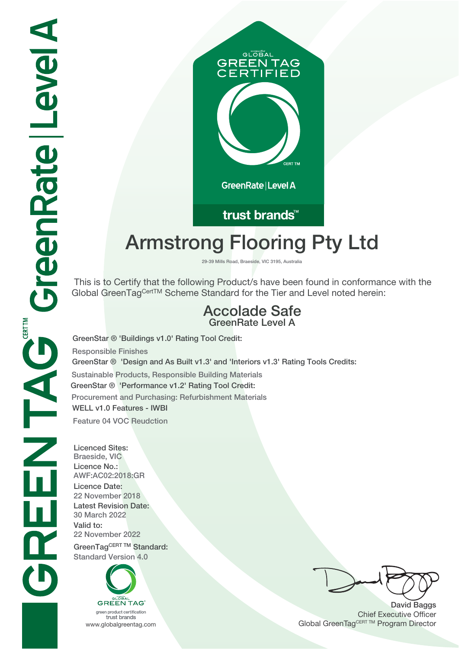# **GLOBAL GREEN TAG IFIED**

GreenRate | Level A

trust brands<sup>™</sup>

# **Armstrong Flooring Pty Ltd**

**29-39 Mills Road, Braeside, VIC 3195, Australia**

 This is to Certify that the following Product/s have been found in conformance with the Global GreenTagCertTM Scheme Standard for the Tier and Level noted herein:

### **Accolade Safe GreenRate Level A**

**GreenStar ® 'Design and As Built v1.3' and 'Interiors v1.3' Rating Tools Credits: Sustainable Products, Responsible Building Materials GreenStar ® 'Performance v1.2' Rating Tool Credit: Procurement and Purchasing: Refurbishment Materials WELL v1.0 Features - IWBI Feature 04 VOC Reudction GreenStar ® 'Buildings v1.0' Rating Tool Credit: Responsible Finishes**

**Licenced Sites: Braeside, VIC Licence No.: AWF:AC02:2018:GR Licence Date: 22 November 2018 Latest Revision Date: 30 March 2022 Valid to: 22 November 2022 GreenTagCERT TM Standard: Standard Version 4.0**

**GREEN TAG** green product certification

trust brands

**David Baggs** Chief Executive Officer WWW.globalgreentag.com **Program Director** Channel Global GreenTagCERT TM Program Director